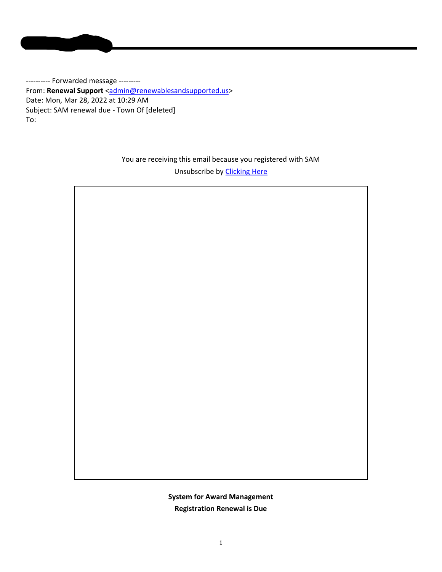**Mujumdar, Namrata**

---------- Forwarded message ---------From: Renewal Support <admin@renewablesandsupported.us> Date: Mon, Mar 28, 2022 at 10:29 AM Subject: SAM renewal due ‐ Town Of [deleted] To:

> You are receiving this email because you registered with SAM Unsubscribe by Clicking Here

> > **System for Award Management Registration Renewal is Due**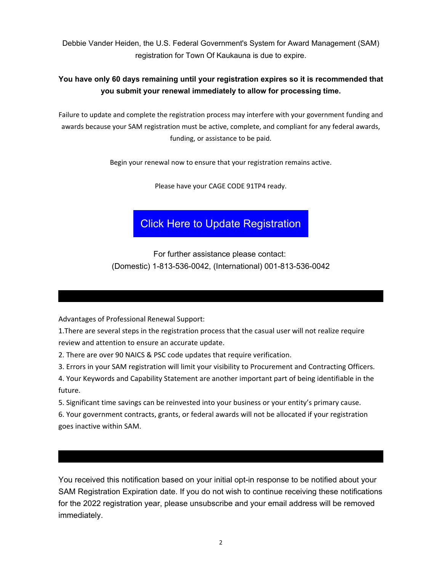Debbie Vander Heiden, the U.S. Federal Government's System for Award Management (SAM) registration for Town Of Kaukauna is due to expire.

## **You have only 60 days remaining until your registration expires so it is recommended that you submit your renewal immediately to allow for processing time.**

Failure to update and complete the registration process may interfere with your government funding and awards because your SAM registration must be active, complete, and compliant for any federal awards, funding, or assistance to be paid.

Begin your renewal now to ensure that your registration remains active.

Please have your CAGE CODE 91TP4 ready.

## Click Here to Update Registration

For further assistance please contact: (Domestic) 1-813-536-0042, (International) 001-813-536-0042

Advantages of Professional Renewal Support:

1.There are several steps in the registration process that the casual user will not realize require review and attention to ensure an accurate update.

2. There are over 90 NAICS & PSC code updates that require verification.

3. Errors in your SAM registration will limit your visibility to Procurement and Contracting Officers.

4. Your Keywords and Capability Statement are another important part of being identifiable in the future.

5. Significant time savings can be reinvested into your business or your entity's primary cause.

6. Your government contracts, grants, or federal awards will not be allocated if your registration goes inactive within SAM.

You received this notification based on your initial opt-in response to be notified about your SAM Registration Expiration date. If you do not wish to continue receiving these notifications for the 2022 registration year, please unsubscribe and your email address will be removed immediately.